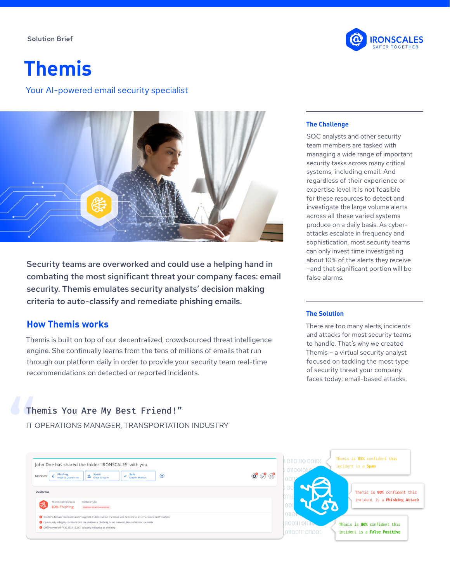#### Solution Brief



# **Themis**

Your AI-powered email security specialist



Security teams are overworked and could use a helping hand in combating the most significant threat your company faces: email security. Themis emulates security analysts' decision making criteria to auto-classify and remediate phishing emails.

### **How Themis works**

Themis is built on top of our decentralized, crowdsourced threat intelligence engine. She continually learns from the tens of millions of emails that run through our platform daily in order to provide your security team real-time recommendations on detected or reported incidents.

#### **The Challenge**

SOC analysts and other security team members are tasked with managing a wide range of important security tasks across many critical systems, including email. And regardless of their experience or expertise level it is not feasible for these resources to detect and investigate the large volume alerts across all these varied systems produce on a daily basis. As cyberattacks escalate in frequency and sophistication, most security teams can only invest time investigating about 10% of the alerts they receive –and that significant portion will be false alarms.

#### **The Solution**

There are too many alerts, incidents and attacks for most security teams to handle. That's why we created Themis – a virtual security analyst focused on tackling the most type of security threat your company faces today: email-based attacks.

# Themis You Are My Best Friend!"

IT OPERATIONS MANAGER, TRANSPORTATION INDUSTRY

| John Doe has shared the folder 'IRONSCALES' with you.<br>Phishing<br>Safe<br>$A$ Spam<br>⊜<br>Mark as:<br>Keep in Mailbox<br>Move to Quarantine                                                                                                                                                     | $\circledcirc$ | 1 01101110 0010(<br>011001                                       | Themis is 85% confident this<br>incident is a Spam            |
|-----------------------------------------------------------------------------------------------------------------------------------------------------------------------------------------------------------------------------------------------------------------------------------------------------|----------------|------------------------------------------------------------------|---------------------------------------------------------------|
| <b>OVERVIEW</b><br>Themis Confidence is<br>Incident Type<br><b>REA</b><br>80% Phishing<br><b>Business Email Compromise</b>                                                                                                                                                                          |                | DTIN                                                             | Themis is 90% confident this<br>incident is a Phishing Attack |
| Sender's domain "ironscales.com" suggests it's internal but the email was detected as external based on IP analysis<br>Community is highly confident that the incident is phishing based on resolutions of similar incidents<br>SMTP server's IP "125.233.112.243" is highly indicative as phishing |                | O <sub>11</sub> O <sub>1</sub><br>1100111 011<br>01100111 011000 | Themis is 80% confident this<br>incident is a False Positive  |